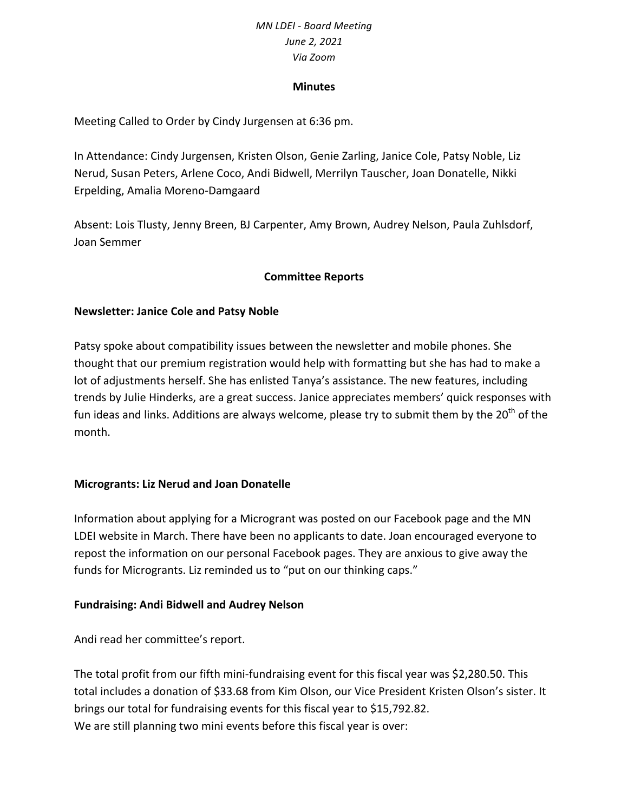#### **Minutes**

Meeting Called to Order by Cindy Jurgensen at 6:36 pm.

In Attendance: Cindy Jurgensen, Kristen Olson, Genie Zarling, Janice Cole, Patsy Noble, Liz Nerud, Susan Peters, Arlene Coco, Andi Bidwell, Merrilyn Tauscher, Joan Donatelle, Nikki Erpelding, Amalia Moreno-Damgaard

Absent: Lois Tlusty, Jenny Breen, BJ Carpenter, Amy Brown, Audrey Nelson, Paula Zuhlsdorf, Joan Semmer

## **Committee Reports**

### **Newsletter: Janice Cole and Patsy Noble**

Patsy spoke about compatibility issues between the newsletter and mobile phones. She thought that our premium registration would help with formatting but she has had to make a lot of adjustments herself. She has enlisted Tanya's assistance. The new features, including trends by Julie Hinderks, are a great success. Janice appreciates members' quick responses with fun ideas and links. Additions are always welcome, please try to submit them by the 20<sup>th</sup> of the month.

### **Microgrants: Liz Nerud and Joan Donatelle**

Information about applying for a Microgrant was posted on our Facebook page and the MN LDEI website in March. There have been no applicants to date. Joan encouraged everyone to repost the information on our personal Facebook pages. They are anxious to give away the funds for Microgrants. Liz reminded us to "put on our thinking caps."

### **Fundraising: Andi Bidwell and Audrey Nelson**

Andi read her committee's report.

The total profit from our fifth mini-fundraising event for this fiscal year was \$2,280.50. This total includes a donation of \$33.68 from Kim Olson, our Vice President Kristen Olson's sister. It brings our total for fundraising events for this fiscal year to \$15,792.82. We are still planning two mini events before this fiscal year is over: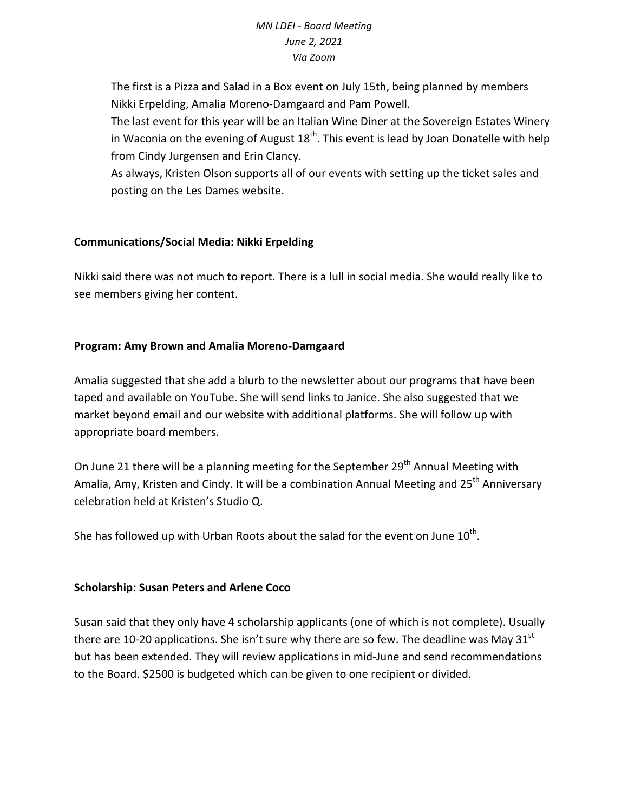The first is a Pizza and Salad in a Box event on July 15th, being planned by members Nikki Erpelding, Amalia Moreno-Damgaard and Pam Powell.

The last event for this year will be an Italian Wine Diner at the Sovereign Estates Winery in Waconia on the evening of August  $18<sup>th</sup>$ . This event is lead by Joan Donatelle with help from Cindy Jurgensen and Erin Clancy.

As always, Kristen Olson supports all of our events with setting up the ticket sales and posting on the Les Dames website.

# **Communications/Social Media: Nikki Erpelding**

Nikki said there was not much to report. There is a lull in social media. She would really like to see members giving her content.

## **Program: Amy Brown and Amalia Moreno-Damgaard**

Amalia suggested that she add a blurb to the newsletter about our programs that have been taped and available on YouTube. She will send links to Janice. She also suggested that we market beyond email and our website with additional platforms. She will follow up with appropriate board members.

On June 21 there will be a planning meeting for the September 29<sup>th</sup> Annual Meeting with Amalia, Amy, Kristen and Cindy. It will be a combination Annual Meeting and 25<sup>th</sup> Anniversary celebration held at Kristen's Studio Q.

She has followed up with Urban Roots about the salad for the event on June  $10^{th}$ .

### **Scholarship: Susan Peters and Arlene Coco**

Susan said that they only have 4 scholarship applicants (one of which is not complete). Usually there are 10-20 applications. She isn't sure why there are so few. The deadline was May 31 $^{\rm st}$ but has been extended. They will review applications in mid-June and send recommendations to the Board. \$2500 is budgeted which can be given to one recipient or divided.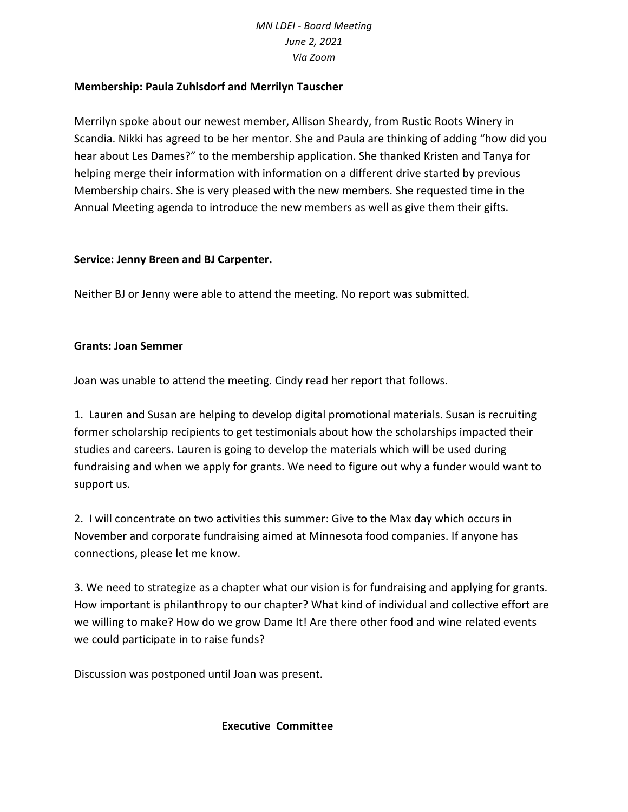## **Membership: Paula Zuhlsdorf and Merrilyn Tauscher**

Merrilyn spoke about our newest member, Allison Sheardy, from Rustic Roots Winery in Scandia. Nikki has agreed to be her mentor. She and Paula are thinking of adding "how did you hear about Les Dames?" to the membership application. She thanked Kristen and Tanya for helping merge their information with information on a different drive started by previous Membership chairs. She is very pleased with the new members. She requested time in the Annual Meeting agenda to introduce the new members as well as give them their gifts.

### **Service: Jenny Breen and BJ Carpenter.**

Neither BJ or Jenny were able to attend the meeting. No report was submitted.

### **Grants: Joan Semmer**

Joan was unable to attend the meeting. Cindy read her report that follows.

1. Lauren and Susan are helping to develop digital promotional materials. Susan is recruiting former scholarship recipients to get testimonials about how the scholarships impacted their studies and careers. Lauren is going to develop the materials which will be used during fundraising and when we apply for grants. We need to figure out why a funder would want to support us.

2. I will concentrate on two activities this summer: Give to the Max day which occurs in November and corporate fundraising aimed at Minnesota food companies. If anyone has connections, please let me know.

3. We need to strategize as a chapter what our vision is for fundraising and applying for grants. How important is philanthropy to our chapter? What kind of individual and collective effort are we willing to make? How do we grow Dame It! Are there other food and wine related events we could participate in to raise funds?

Discussion was postponed until Joan was present.

### **Executive Committee**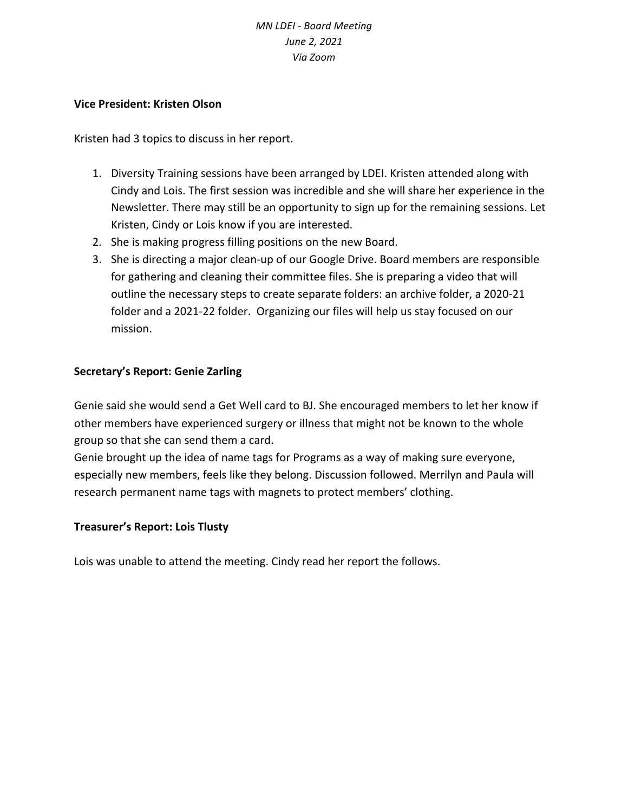### **Vice President: Kristen Olson**

Kristen had 3 topics to discuss in her report.

- 1. Diversity Training sessions have been arranged by LDEI. Kristen attended along with Cindy and Lois. The first session was incredible and she will share her experience in the Newsletter. There may still be an opportunity to sign up for the remaining sessions. Let Kristen, Cindy or Lois know if you are interested.
- 2. She is making progress filling positions on the new Board.
- 3. She is directing a major clean-up of our Google Drive. Board members are responsible for gathering and cleaning their committee files. She is preparing a video that will outline the necessary steps to create separate folders: an archive folder, a 2020-21 folder and a 2021-22 folder. Organizing our files will help us stay focused on our mission.

## **Secretary's Report: Genie Zarling**

Genie said she would send a Get Well card to BJ. She encouraged members to let her know if other members have experienced surgery or illness that might not be known to the whole group so that she can send them a card.

Genie brought up the idea of name tags for Programs as a way of making sure everyone, especially new members, feels like they belong. Discussion followed. Merrilyn and Paula will research permanent name tags with magnets to protect members' clothing.

### **Treasurer's Report: Lois Tlusty**

Lois was unable to attend the meeting. Cindy read her report the follows.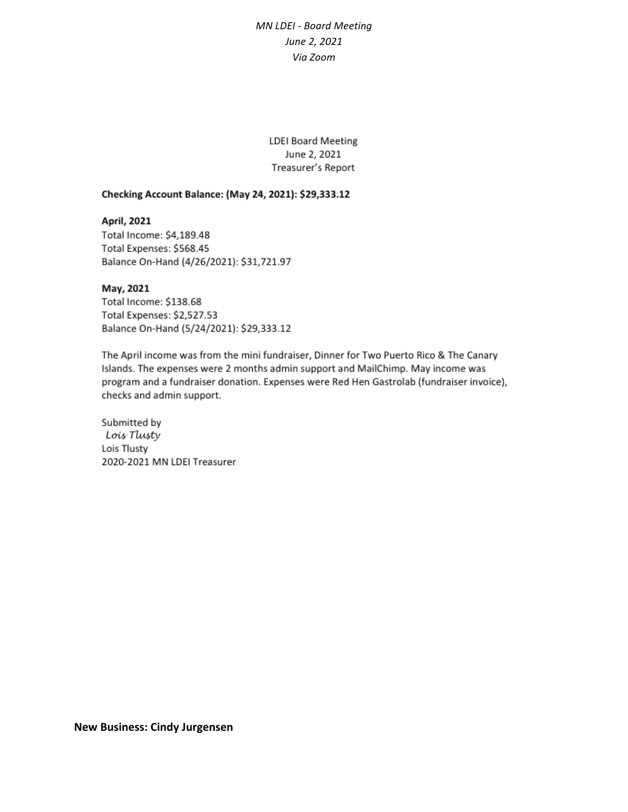**LDEI Board Meeting** June 2, 2021 Treasurer's Report

#### Checking Account Balance: (May 24, 2021): \$29,333.12

April, 2021 Total Income: \$4,189.48 Total Expenses: \$568.45 Balance On-Hand (4/26/2021): \$31,721.97

#### May, 2021

Total Income: \$138.68 Total Expenses: \$2,527.53 Balance On-Hand (5/24/2021): \$29,333.12

The April income was from the mini fundraiser, Dinner for Two Puerto Rico & The Canary Islands. The expenses were 2 months admin support and MailChimp. May income was program and a fundraiser donation. Expenses were Red Hen Gastrolab (fundraiser invoice), checks and admin support.

Submitted by Lois Tlusty Lois Tlusty 2020-2021 MN LDEI Treasurer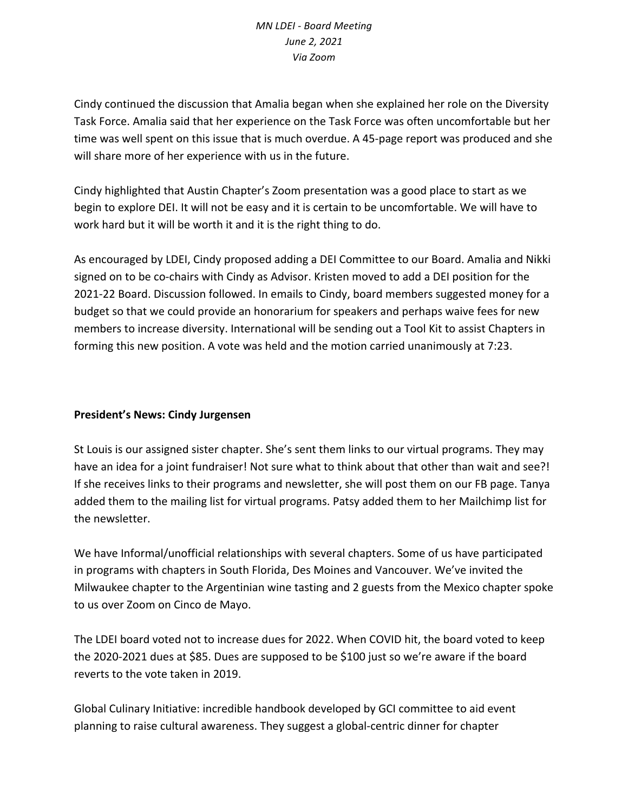Cindy continued the discussion that Amalia began when she explained her role on the Diversity Task Force. Amalia said that her experience on the Task Force was often uncomfortable but her time was well spent on this issue that is much overdue. A 45-page report was produced and she will share more of her experience with us in the future.

Cindy highlighted that Austin Chapter's Zoom presentation was a good place to start as we begin to explore DEI. It will not be easy and it is certain to be uncomfortable. We will have to work hard but it will be worth it and it is the right thing to do.

As encouraged by LDEI, Cindy proposed adding a DEI Committee to our Board. Amalia and Nikki signed on to be co-chairs with Cindy as Advisor. Kristen moved to add a DEI position for the 2021-22 Board. Discussion followed. In emails to Cindy, board members suggested money for a budget so that we could provide an honorarium for speakers and perhaps waive fees for new members to increase diversity. International will be sending out a Tool Kit to assist Chapters in forming this new position. A vote was held and the motion carried unanimously at 7:23.

# **President's News: Cindy Jurgensen**

St Louis is our assigned sister chapter. She's sent them links to our virtual programs. They may have an idea for a joint fundraiser! Not sure what to think about that other than wait and see?! If she receives links to their programs and newsletter, she will post them on our FB page. Tanya added them to the mailing list for virtual programs. Patsy added them to her Mailchimp list for the newsletter.

We have Informal/unofficial relationships with several chapters. Some of us have participated in programs with chapters in South Florida, Des Moines and Vancouver. We've invited the Milwaukee chapter to the Argentinian wine tasting and 2 guests from the Mexico chapter spoke to us over Zoom on Cinco de Mayo.

The LDEI board voted not to increase dues for 2022. When COVID hit, the board voted to keep the 2020-2021 dues at \$85. Dues are supposed to be \$100 just so we're aware if the board reverts to the vote taken in 2019.

Global Culinary Initiative: incredible handbook developed by GCI committee to aid event planning to raise cultural awareness. They suggest a global-centric dinner for chapter